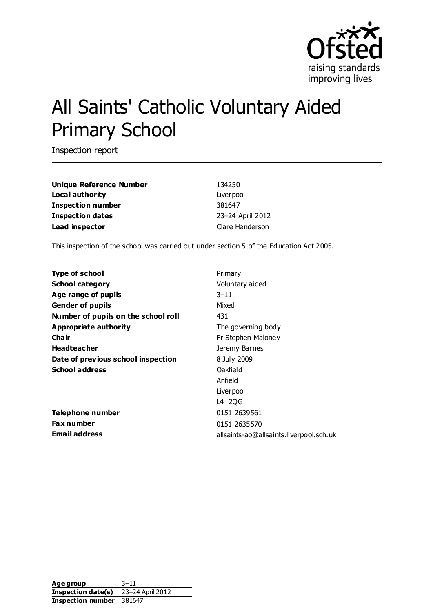

# All Saints' Catholic Voluntary Aided Primary School

Inspection report

| Unique Reference Number  |  |
|--------------------------|--|
| Local authority          |  |
| <b>Inspection number</b> |  |
| <b>Inspection dates</b>  |  |
| Lead inspector           |  |

**Unique Reference Number** 134250 Liver pool **Inspection number** 381647 **Inspection dates** 23–24 April 2012 **Clare Henderson** 

This inspection of the school was carried out under section 5 of the Education Act 2005.

| Type of school                      | Primary                                 |
|-------------------------------------|-----------------------------------------|
| <b>School category</b>              | Voluntary aided                         |
| Age range of pupils                 | $3 - 11$                                |
| <b>Gender of pupils</b>             | Mixed                                   |
| Number of pupils on the school roll | 431                                     |
| Appropriate authority               | The governing body                      |
| Cha ir                              | Fr Stephen Maloney                      |
| <b>Headteacher</b>                  | Jeremy Barnes                           |
| Date of previous school inspection  | 8 July 2009                             |
| <b>School address</b>               | Oakfield                                |
|                                     | Anfield                                 |
|                                     | Liver pool                              |
|                                     | L4 2QG                                  |
| Telephone number                    | 0151 2639561                            |
| <b>Fax number</b>                   | 0151 2635570                            |
| <b>Email address</b>                | allsaints-ao@allsaints.liverpool.sch.uk |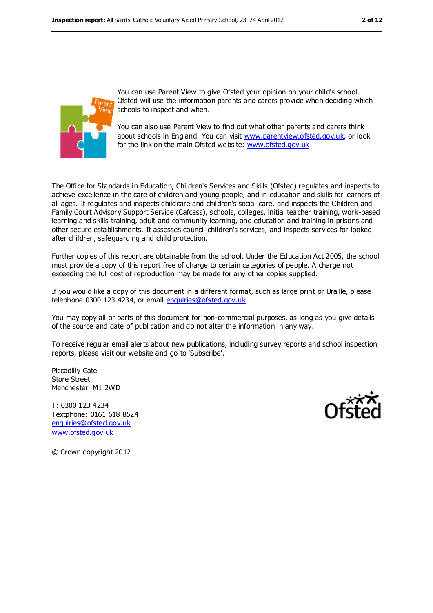

You can use Parent View to give Ofsted your opinion on your child's school. Ofsted will use the information parents and carers provide when deciding which schools to inspect and when.

You can also use Parent View to find out what other parents and carers think about schools in England. You can visit [www.parentview.ofsted.gov.uk,](../../../Local%20Settings/Local%20Settings/Temporary%20Internet%20Files/Content.IE5/Documents/www.parentview.ofsted.gov.uk) or look for the link on the main Ofsted website: [www.ofsted.gov.uk](../../../Local%20Settings/Local%20Settings/Temporary%20Internet%20Files/Content.IE5/Documents/www.ofsted.gov.uk)

The Office for Standards in Education, Children's Services and Skills (Ofsted) regulates and inspects to achieve excellence in the care of children and young people, and in education and skills for learners of all ages. It regulates and inspects childcare and children's social care, and inspects the Children and Family Court Advisory Support Service (Cafcass), schools, colleges, initial teacher training, work-based learning and skills training, adult and community learning, and education and training in prisons and other secure establishments. It assesses council children's services, and inspects services for looked after children, safeguarding and child protection.

Further copies of this report are obtainable from the school. Under the Education Act 2005, the school must provide a copy of this report free of charge to certain categories of people. A charge not exceeding the full cost of reproduction may be made for any other copies supplied.

If you would like a copy of this document in a different format, such as large print or Braille, please telephone 0300 123 4234, or email [enquiries@ofsted.gov.uk](mailto:enquiries@ofsted.gov.uk)

You may copy all or parts of this document for non-commercial purposes, as long as you give details of the source and date of publication and do not alter the information in any way.

To receive regular email alerts about new publications, including survey reports and school inspection reports, please visit our website and go to 'Subscribe'.

Piccadilly Gate Store Street Manchester M1 2WD

T: 0300 123 4234 Textphone: 0161 618 8524 [enquiries@ofsted.gov.uk](mailto:enquiries@ofsted.gov.uk) [www.ofsted.gov.uk](http://www.ofsted.gov.uk/)



© Crown copyright 2012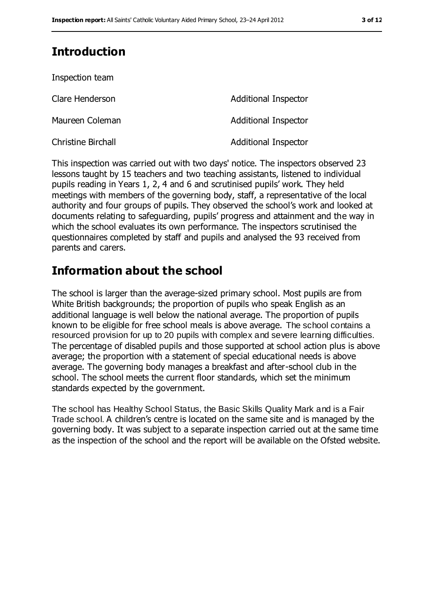## **Introduction**

| Inspection team           |                             |
|---------------------------|-----------------------------|
| Clare Henderson           | Additional Inspector        |
| Maureen Coleman           | <b>Additional Inspector</b> |
| <b>Christine Birchall</b> | <b>Additional Inspector</b> |

This inspection was carried out with two days' notice. The inspectors observed 23 lessons taught by 15 teachers and two teaching assistants, listened to individual pupils reading in Years 1, 2, 4 and 6 and scrutinised pupils' work. They held meetings with members of the governing body, staff, a representative of the local authority and four groups of pupils. They observed the school's work and looked at documents relating to safeguarding, pupils' progress and attainment and the way in which the school evaluates its own performance. The inspectors scrutinised the questionnaires completed by staff and pupils and analysed the 93 received from parents and carers.

## **Information about the school**

The school is larger than the average-sized primary school. Most pupils are from White British backgrounds; the proportion of pupils who speak English as an additional language is well below the national average. The proportion of pupils known to be eligible for free school meals is above average. The school contains a resourced provision for up to 20 pupils with complex and severe learning difficulties. The percentage of disabled pupils and those supported at school action plus is above average; the proportion with a statement of special educational needs is above average. The governing body manages a breakfast and after-school club in the school. The school meets the current floor standards, which set the minimum standards expected by the government.

The school has Healthy School Status, the Basic Skills Quality Mark and is a Fair Trade school. A children's centre is located on the same site and is managed by the governing body. It was subject to a separate inspection carried out at the same time as the inspection of the school and the report will be available on the Ofsted website.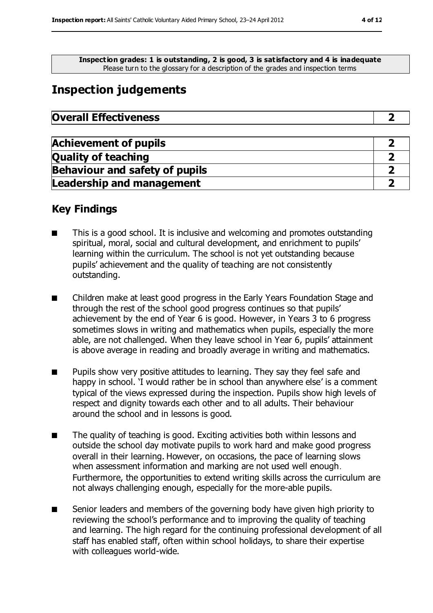**Inspection grades: 1 is outstanding, 2 is good, 3 is satisfactory and 4 is inadequate** Please turn to the glossary for a description of the grades and inspection terms

## **Inspection judgements**

| <b>Overall Effectiveness</b> |  |
|------------------------------|--|
|------------------------------|--|

| <b>Achievement of pupils</b>          |  |
|---------------------------------------|--|
| <b>Quality of teaching</b>            |  |
| <b>Behaviour and safety of pupils</b> |  |
| <b>Leadership and management</b>      |  |

#### **Key Findings**

- This is a good school. It is inclusive and welcoming and promotes outstanding spiritual, moral, social and cultural development, and enrichment to pupils' learning within the curriculum. The school is not yet outstanding because pupils' achievement and the quality of teaching are not consistently outstanding.
- Children make at least good progress in the Early Years Foundation Stage and through the rest of the school good progress continues so that pupils' achievement by the end of Year 6 is good. However, in Years 3 to 6 progress sometimes slows in writing and mathematics when pupils, especially the more able, are not challenged. When they leave school in Year 6, pupils' attainment is above average in reading and broadly average in writing and mathematics.
- Pupils show very positive attitudes to learning. They say they feel safe and happy in school. 'I would rather be in school than anywhere else' is a comment typical of the views expressed during the inspection. Pupils show high levels of respect and dignity towards each other and to all adults. Their behaviour around the school and in lessons is good.
- The quality of teaching is good. Exciting activities both within lessons and outside the school day motivate pupils to work hard and make good progress overall in their learning. However, on occasions, the pace of learning slows when assessment information and marking are not used well enough. Furthermore, the opportunities to extend writing skills across the curriculum are not always challenging enough, especially for the more-able pupils.
- Senior leaders and members of the governing body have given high priority to reviewing the school's performance and to improving the quality of teaching and learning. The high regard for the continuing professional development of all staff has enabled staff, often within school holidays, to share their expertise with colleagues world-wide.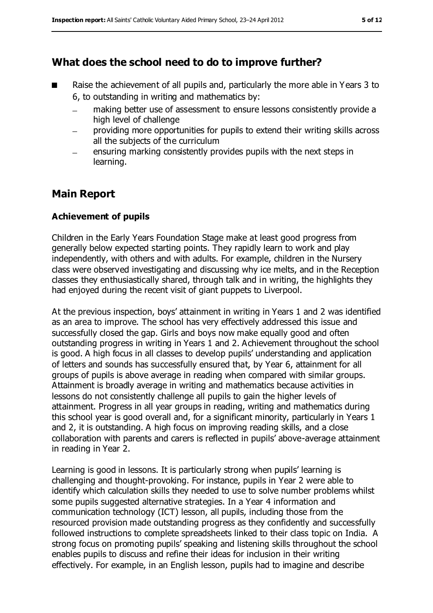## **What does the school need to do to improve further?**

- Raise the achievement of all pupils and, particularly the more able in Years 3 to 6, to outstanding in writing and mathematics by:
	- making better use of assessment to ensure lessons consistently provide a high level of challenge
	- providing more opportunities for pupils to extend their writing skills across all the subjects of the curriculum
	- ensuring marking consistently provides pupils with the next steps in learning.

## **Main Report**

#### **Achievement of pupils**

Children in the Early Years Foundation Stage make at least good progress from generally below expected starting points. They rapidly learn to work and play independently, with others and with adults. For example, children in the Nursery class were observed investigating and discussing why ice melts, and in the Reception classes they enthusiastically shared, through talk and in writing, the highlights they had enjoyed during the recent visit of giant puppets to Liverpool.

At the previous inspection, boys' attainment in writing in Years 1 and 2 was identified as an area to improve. The school has very effectively addressed this issue and successfully closed the gap. Girls and boys now make equally good and often outstanding progress in writing in Years 1 and 2. Achievement throughout the school is good. A high focus in all classes to develop pupils' understanding and application of letters and sounds has successfully ensured that, by Year 6, attainment for all groups of pupils is above average in reading when compared with similar groups. Attainment is broadly average in writing and mathematics because activities in lessons do not consistently challenge all pupils to gain the higher levels of attainment. Progress in all year groups in reading, writing and mathematics during this school year is good overall and, for a significant minority, particularly in Years 1 and 2, it is outstanding. A high focus on improving reading skills, and a close collaboration with parents and carers is reflected in pupils' above-average attainment in reading in Year 2.

Learning is good in lessons. It is particularly strong when pupils' learning is challenging and thought-provoking. For instance, pupils in Year 2 were able to identify which calculation skills they needed to use to solve number problems whilst some pupils suggested alternative strategies. In a Year 4 information and communication technology (ICT) lesson, all pupils, including those from the resourced provision made outstanding progress as they confidently and successfully followed instructions to complete spreadsheets linked to their class topic on India. A strong focus on promoting pupils' speaking and listening skills throughout the school enables pupils to discuss and refine their ideas for inclusion in their writing effectively. For example, in an English lesson, pupils had to imagine and describe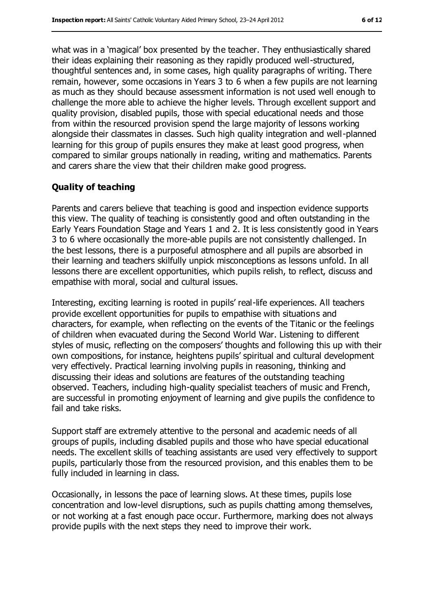what was in a 'magical' box presented by the teacher. They enthusiastically shared their ideas explaining their reasoning as they rapidly produced well-structured, thoughtful sentences and, in some cases, high quality paragraphs of writing. There remain, however, some occasions in Years 3 to 6 when a few pupils are not learning as much as they should because assessment information is not used well enough to challenge the more able to achieve the higher levels. Through excellent support and quality provision, disabled pupils, those with special educational needs and those from within the resourced provision spend the large majority of lessons working alongside their classmates in classes. Such high quality integration and well-planned learning for this group of pupils ensures they make at least good progress, when compared to similar groups nationally in reading, writing and mathematics. Parents and carers share the view that their children make good progress.

#### **Quality of teaching**

Parents and carers believe that teaching is good and inspection evidence supports this view. The quality of teaching is consistently good and often outstanding in the Early Years Foundation Stage and Years 1 and 2. It is less consistently good in Years 3 to 6 where occasionally the more-able pupils are not consistently challenged. In the best lessons, there is a purposeful atmosphere and all pupils are absorbed in their learning and teachers skilfully unpick misconceptions as lessons unfold. In all lessons there are excellent opportunities, which pupils relish, to reflect, discuss and empathise with moral, social and cultural issues.

Interesting, exciting learning is rooted in pupils' real-life experiences. All teachers provide excellent opportunities for pupils to empathise with situations and characters, for example, when reflecting on the events of the Titanic or the feelings of children when evacuated during the Second World War. Listening to different styles of music, reflecting on the composers' thoughts and following this up with their own compositions, for instance, heightens pupils' spiritual and cultural development very effectively. Practical learning involving pupils in reasoning, thinking and discussing their ideas and solutions are features of the outstanding teaching observed. Teachers, including high-quality specialist teachers of music and French, are successful in promoting enjoyment of learning and give pupils the confidence to fail and take risks.

Support staff are extremely attentive to the personal and academic needs of all groups of pupils, including disabled pupils and those who have special educational needs. The excellent skills of teaching assistants are used very effectively to support pupils, particularly those from the resourced provision, and this enables them to be fully included in learning in class.

Occasionally, in lessons the pace of learning slows. At these times, pupils lose concentration and low-level disruptions, such as pupils chatting among themselves, or not working at a fast enough pace occur. Furthermore, marking does not always provide pupils with the next steps they need to improve their work.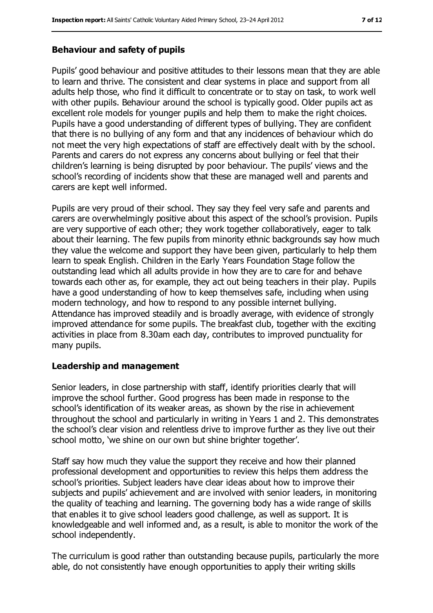#### **Behaviour and safety of pupils**

Pupils' good behaviour and positive attitudes to their lessons mean that they are able to learn and thrive. The consistent and clear systems in place and support from all adults help those, who find it difficult to concentrate or to stay on task, to work well with other pupils. Behaviour around the school is typically good. Older pupils act as excellent role models for younger pupils and help them to make the right choices. Pupils have a good understanding of different types of bullying. They are confident that there is no bullying of any form and that any incidences of behaviour which do not meet the very high expectations of staff are effectively dealt with by the school. Parents and carers do not express any concerns about bullying or feel that their children's learning is being disrupted by poor behaviour. The pupils' views and the school's recording of incidents show that these are managed well and parents and carers are kept well informed.

Pupils are very proud of their school. They say they feel very safe and parents and carers are overwhelmingly positive about this aspect of the school's provision. Pupils are very supportive of each other; they work together collaboratively, eager to talk about their learning. The few pupils from minority ethnic backgrounds say how much they value the welcome and support they have been given, particularly to help them learn to speak English. Children in the Early Years Foundation Stage follow the outstanding lead which all adults provide in how they are to care for and behave towards each other as, for example, they act out being teachers in their play. Pupils have a good understanding of how to keep themselves safe, including when using modern technology, and how to respond to any possible internet bullying. Attendance has improved steadily and is broadly average, with evidence of strongly improved attendance for some pupils. The breakfast club, together with the exciting activities in place from 8.30am each day, contributes to improved punctuality for many pupils.

#### **Leadership and management**

Senior leaders, in close partnership with staff, identify priorities clearly that will improve the school further. Good progress has been made in response to the school's identification of its weaker areas, as shown by the rise in achievement throughout the school and particularly in writing in Years 1 and 2. This demonstrates the school's clear vision and relentless drive to improve further as they live out their school motto, 'we shine on our own but shine brighter together'.

Staff say how much they value the support they receive and how their planned professional development and opportunities to review this helps them address the school's priorities. Subject leaders have clear ideas about how to improve their subjects and pupils' achievement and are involved with senior leaders, in monitoring the quality of teaching and learning. The governing body has a wide range of skills that enables it to give school leaders good challenge, as well as support. It is knowledgeable and well informed and, as a result, is able to monitor the work of the school independently.

The curriculum is good rather than outstanding because pupils, particularly the more able, do not consistently have enough opportunities to apply their writing skills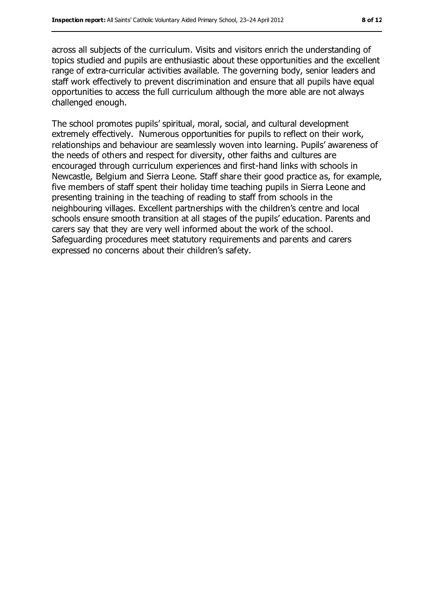across all subjects of the curriculum. Visits and visitors enrich the understanding of topics studied and pupils are enthusiastic about these opportunities and the excellent range of extra-curricular activities available. The governing body, senior leaders and staff work effectively to prevent discrimination and ensure that all pupils have equal opportunities to access the full curriculum although the more able are not always challenged enough.

The school promotes pupils' spiritual, moral, social, and cultural development extremely effectively. Numerous opportunities for pupils to reflect on their work, relationships and behaviour are seamlessly woven into learning. Pupils' awareness of the needs of others and respect for diversity, other faiths and cultures are encouraged through curriculum experiences and first-hand links with schools in Newcastle, Belgium and Sierra Leone. Staff share their good practice as, for example, five members of staff spent their holiday time teaching pupils in Sierra Leone and presenting training in the teaching of reading to staff from schools in the neighbouring villages. Excellent partnerships with the children's centre and local schools ensure smooth transition at all stages of the pupils' education. Parents and carers say that they are very well informed about the work of the school. Safeguarding procedures meet statutory requirements and parents and carers expressed no concerns about their children's safety.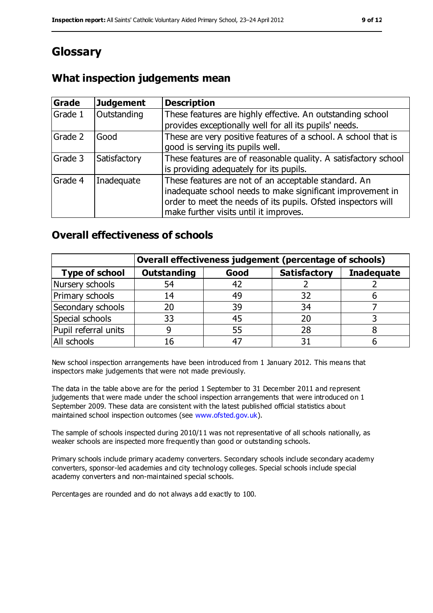## **Glossary**

### **What inspection judgements mean**

| Grade   | <b>Judgement</b> | <b>Description</b>                                                                                                                                                                                                            |
|---------|------------------|-------------------------------------------------------------------------------------------------------------------------------------------------------------------------------------------------------------------------------|
| Grade 1 | Outstanding      | These features are highly effective. An outstanding school<br>provides exceptionally well for all its pupils' needs.                                                                                                          |
| Grade 2 | Good             | These are very positive features of a school. A school that is<br>good is serving its pupils well.                                                                                                                            |
| Grade 3 | Satisfactory     | These features are of reasonable quality. A satisfactory school<br>is providing adequately for its pupils.                                                                                                                    |
| Grade 4 | Inadequate       | These features are not of an acceptable standard. An<br>inadequate school needs to make significant improvement in<br>order to meet the needs of its pupils. Ofsted inspectors will<br>make further visits until it improves. |

#### **Overall effectiveness of schools**

|                       | Overall effectiveness judgement (percentage of schools) |      |                     |                   |
|-----------------------|---------------------------------------------------------|------|---------------------|-------------------|
| <b>Type of school</b> | <b>Outstanding</b>                                      | Good | <b>Satisfactory</b> | <b>Inadequate</b> |
| Nursery schools       | 54                                                      | 42   |                     |                   |
| Primary schools       | 14                                                      | 49   | 32                  |                   |
| Secondary schools     | 20                                                      | 39   | 34                  |                   |
| Special schools       | 33                                                      | 45   |                     |                   |
| Pupil referral units  | 9                                                       | 55   | 28                  |                   |
| All schools           | 16                                                      | 47   |                     |                   |

New school inspection arrangements have been introduced from 1 January 2012. This means that inspectors make judgements that were not made previously.

The data in the table above are for the period 1 September to 31 December 2011 and represent judgements that were made under the school inspection arrangements that were introduced on 1 September 2009. These data are consistent with the latest published official statistics about maintained school inspection outcomes (see [www.ofsted.gov.uk\)](../../../Local%20Settings/Local%20Settings/Temporary%20Internet%20Files/Content.IE5/Documents/www.ofsted.gov.uk).

The sample of schools inspected during 2010/11 was not representative of all schools nationally, as weaker schools are inspected more frequently than good or outstanding schools.

Primary schools include primary academy converters. Secondary schools include secondary academy converters, sponsor-led academies and city technology colleges. Special schools include special academy converters and non-maintained special schools.

Percentages are rounded and do not always a dd exactly to 100.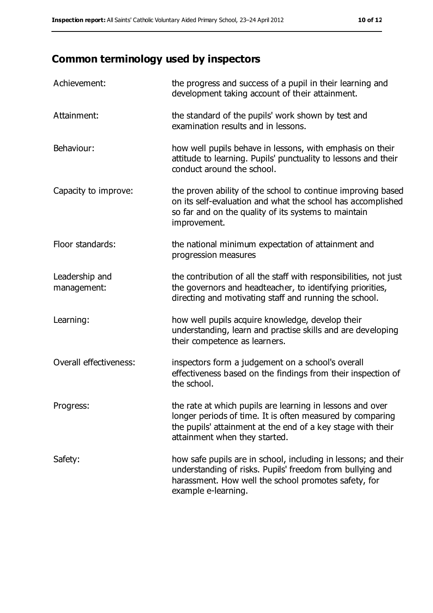## **Common terminology used by inspectors**

| Achievement:                  | the progress and success of a pupil in their learning and<br>development taking account of their attainment.                                                                                                           |
|-------------------------------|------------------------------------------------------------------------------------------------------------------------------------------------------------------------------------------------------------------------|
| Attainment:                   | the standard of the pupils' work shown by test and<br>examination results and in lessons.                                                                                                                              |
| Behaviour:                    | how well pupils behave in lessons, with emphasis on their<br>attitude to learning. Pupils' punctuality to lessons and their<br>conduct around the school.                                                              |
| Capacity to improve:          | the proven ability of the school to continue improving based<br>on its self-evaluation and what the school has accomplished<br>so far and on the quality of its systems to maintain<br>improvement.                    |
| Floor standards:              | the national minimum expectation of attainment and<br>progression measures                                                                                                                                             |
| Leadership and<br>management: | the contribution of all the staff with responsibilities, not just<br>the governors and headteacher, to identifying priorities,<br>directing and motivating staff and running the school.                               |
| Learning:                     | how well pupils acquire knowledge, develop their<br>understanding, learn and practise skills and are developing<br>their competence as learners.                                                                       |
| Overall effectiveness:        | inspectors form a judgement on a school's overall<br>effectiveness based on the findings from their inspection of<br>the school.                                                                                       |
| Progress:                     | the rate at which pupils are learning in lessons and over<br>longer periods of time. It is often measured by comparing<br>the pupils' attainment at the end of a key stage with their<br>attainment when they started. |
| Safety:                       | how safe pupils are in school, including in lessons; and their<br>understanding of risks. Pupils' freedom from bullying and<br>harassment. How well the school promotes safety, for<br>example e-learning.             |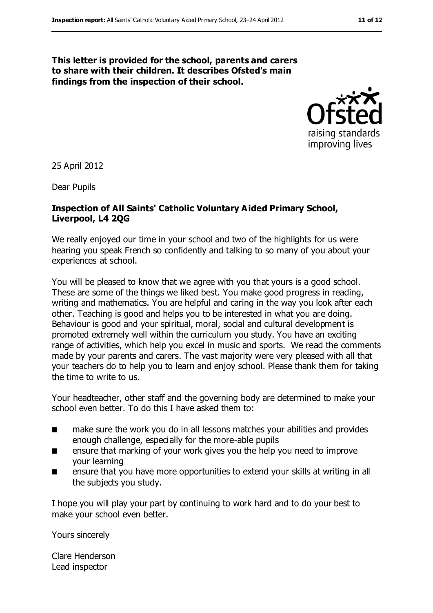#### **This letter is provided for the school, parents and carers to share with their children. It describes Ofsted's main findings from the inspection of their school.**



25 April 2012

Dear Pupils

#### **Inspection of All Saints' Catholic Voluntary Aided Primary School, Liverpool, L4 2QG**

We really enjoyed our time in your school and two of the highlights for us were hearing you speak French so confidently and talking to so many of you about your experiences at school.

You will be pleased to know that we agree with you that yours is a good school. These are some of the things we liked best. You make good progress in reading, writing and mathematics. You are helpful and caring in the way you look after each other. Teaching is good and helps you to be interested in what you are doing. Behaviour is good and your spiritual, moral, social and cultural development is promoted extremely well within the curriculum you study. You have an exciting range of activities, which help you excel in music and sports. We read the comments made by your parents and carers. The vast majority were very pleased with all that your teachers do to help you to learn and enjoy school. Please thank them for taking the time to write to us.

Your headteacher, other staff and the governing body are determined to make your school even better. To do this I have asked them to:

- make sure the work you do in all lessons matches your abilities and provides enough challenge, especially for the more-able pupils
- ensure that marking of your work gives you the help you need to improve your learning
- ensure that you have more opportunities to extend your skills at writing in all the subjects you study.

I hope you will play your part by continuing to work hard and to do your best to make your school even better.

Yours sincerely

Clare Henderson Lead inspector